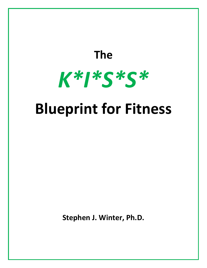# **The** *K\*I\*S\*S\**

## **Blueprint for Fitness**

**Stephen J. Winter, Ph.D.**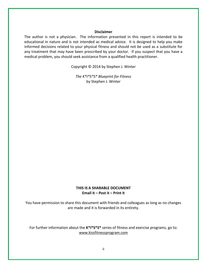#### **Disclaimer**

The author is not a physician. The information presented in this report is intended to be educational in nature and is not intended as medical advice. It is designed to help you make informed decisions related to your physical fitness and should not be used as a substitute for any treatment that may have been prescribed by your doctor. If you suspect that you have a medical problem, you should seek assistance from a qualified health practitioner.

Copyright © 2014 by Stephen J. Winter

*The K\*I\*S\*S\* Blueprint for Fitness* by Stephen J. Winter

#### **THIS IS A SHARABLE DOCUMENT Email it – Post it – Print it**

You have permission to share this document with friends and colleagues as long as no changes are made and it is forwarded in its entirety.

For further information about the **K\*I\*S\*S\*** series of fitness and exercise programs, go to: [www.kissfitnessprogram.com](http://www.kissfitnessprogram.com/)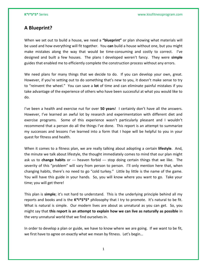## **A Blueprint?**

When we set out to build a house, we need a **"blueprint"** or plan showing what materials will be used and how everything will fit together. You **can** build a house without one, but you might make mistakes along the way that would be time-consuming and costly to correct. I've designed and built a few houses. The plans I developed weren't fancy. They were **simple** guides that enabled me to efficiently complete the construction process without any errors.

We need plans for many things that we decide to do. If you can develop your own, great. However, if you're setting out to do something that's new to you, it doesn't make sense to try to "reinvent the wheel." You can save a **lot** of time and can eliminate painful mistakes if you take advantage of the experience of others who have been successful at what you would like to do.

I've been a health and exercise nut for over **50 years**! I certainly don't have all the answers. However, I've learned an awful lot by research and experimentation with different diet and exercise programs. Some of this experience wasn't particularly pleasant and I wouldn't recommend that a person do all the things I've done. This report is an attempt to summarize my successes and lessons I've learned into a form that I hope will be helpful to you in your quest for fitness and health.

When it comes to a fitness plan, we are really talking about adopting a certain **lifestyle**. And, the minute we talk about lifestyle, the thought immediately comes to mind that our plan might ask us to **change habits** or --- heaven forbid --- stop doing certain things that we like. The severity of this "problem" will vary from person to person. I'll only mention here that, when changing habits, there's no need to go "cold turkey." Little by little is the name of the game. You will have this guide in your hands. So, you will know where you want to go. Take your time; you will get there!

This plan is **simple**; it's not hard to understand. This is the underlying principle behind all my reports and books and is the **K\*I\*S\*S\*** philosophy that I try to promote. It's natural to be fit. What is natural is simple. Our modern lives are about as unnatural as you can get. So, you might say that **this report is an attempt to explain how we can live as naturally as possible** in the very unnatural world that we find ourselves in.

In order to develop a plan or guide, we have to know where we are going. If we want to be fit, we first have to agree on exactly what we mean by fitness. Let's begin…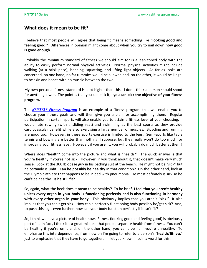#### **What does it mean to be fit?**

I believe that most people will agree that being fit means something like **"looking good and feeling good."** Differences in opinion might come about when you try to nail down **how good is good enough**.

Probably the **minimum** standard of fitness we should aim for is a lean toned body with the ability to easily perform normal physical activities. Normal physical activities might include walking (at a brisk pace), bending, squatting, and lifting light objects. As far as looks are concerned, on one hand, no fat tummies would be allowed and, on the other, it would be illegal to be skin and bones with no muscle between the two.

My own personal fitness standard is a lot higher than this. I don't think a person should shoot for anything lower. The point is that you can pick it; **you can pick the objective of your fitness program.**

The *[K\\*I\\*S\\*S\\* Fitness Program](http://www.kissfitnessprogram.com/)* is an example of a fitness program that will enable you to choose your fitness goals and will then give you a plan for accomplishing them. Regular participation in certain sports will also enable you to attain a fitness level of your choosing. I would rate rowing (with a sliding seat) and swimming as the best sports as they provide cardiovascular benefit while also exercising a large number of muscles. Bicycling and running are good too. However, in these sports exercise is limited to the legs. Semi-sports like table tennis and bowling are better than nothing, I suppose, but they really won't do too much for **improving** your fitness level. However, if you **are** fit, you will probably do much better at them!

Where does "health" come into the picture and what **is** "health?" The quick answer is that you're healthy if you're not sick. However, if you think about it, that doesn't make very much sense. Look at the 300 lb obese guy in his bathing suit at the beach. He might not be "sick" but he certainly is **un**fit. **Can he possibly be healthy** in that condition? On the other hand, look at the Olympic athlete that happens to be in bed with pneumonia. He most definitely is sick so he can't be healthy. **Is he still fit?**

So, again, what the heck does it mean to be healthy? To be brief, **I feel that you aren't healthy unless every organ in your body is functioning perfectly and is also functioning in harmony**  with every other organ in your body. This obviously implies that you aren't "sick." It also implies that you can't **get** sick! How can a perfectly functioning body possibly be/get sick? And, to push this logic even further, how can your body function perfectly if it isn't fit?

So, I think we have a picture of health now. Fitness (looking good and feeling good) is obviously part of it. In fact, I think it's a great mistake that people separate health from fitness. You can't be healthy if you're unfit and, on the other hand, you can't be fit if you're unhealthy. To emphasize this interdependence, from now on I'm going to refer to a person's "**health/fitness**" just to emphasize that they have to go together. I'll let you know if I coin a word for this!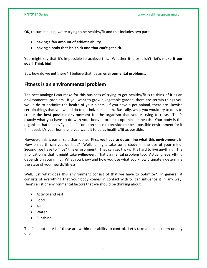OK, to sum it all up, we're trying to be healthy/fit and this includes two parts:

- **having a fair amount of athletic ability,**
- **having a body that isn't sick and that can't get sick.**

You might say that it's impossible to achieve this. Whether it is or it isn't, **let's make it our goal! Think big**!

But, how do we get there? I believe that it's an **environmental problem**…

#### **Fitness is an environmental problem**

The best analogy I can make for this business of trying to get healthy/fit is to think of it as an environmental problem. If you want to grow a vegetable garden, there are certain things you would do to optimize the health of your plants. If you have a pet animal, there are likewise certain things that you would do to optimize its health. Basically, what you would try to do is to create **the best possible environment** for the organism that you're trying to raise. That's exactly what you have to do with your body in order to optimize its health. Your body is the organism that houses "you." It's common sense to provide the best possible environment for it if, indeed, it's your home and you want it to be as healthy/fit as possible.

However, this is easier said than done. First, **we have to determine what this environment is**. How on earth can you do that? Well, it might take some study --- the use of your mind. Second, we have to **"live"** this environment. That can get tricky. It's hard to live anything. The implication is that it might take **willpower**. That's a mental problem too. Actually, **everything**  depends on your mind. What you know and how you use what you know ultimately determine the state of your health/fitness.

Well, just what does this environment consist of that we have to optimize? In general, it consists of everything that your body comes in contact with or can influence it in any way. Here's a list of environmental factors that we should be thinking about:

- Activity and rest
- Food
- Air
- Water
- Sunshine

That's about it. All of these are within our ability to control. Let's take a look at them one by one…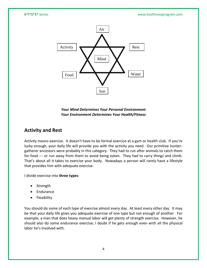

*Your Mind Determines Your Personal Environment Your Environment Determines Your Health/Fitness*

## **Activity and Rest**

Activity means exercise. It doesn't have to be formal exercise at a gym or health club. If you're lucky enough, your daily life will provide you with the activity you need. Our primitive huntergatherer ancestors were probably in this category. They had to run after animals to catch them for food --- or run away from them to avoid being eaten. They had to carry things and climb. That's about all it takes to exercise your body. Nowadays a person will rarely have a lifestyle that provides him with adequate exercise.

I divide exercise into **three types**:

- Strength
- Endurance
- Flexibility

You should do some of each type of exercise almost every day. At least every other day. It may be that your daily life gives you adequate exercise of one type but not enough of another. For example, a man that does heavy manual labor will get plenty of strength exercise. However, he should also do some endurance exercise; I doubt if he gets enough even with all the physical labor he's involved with.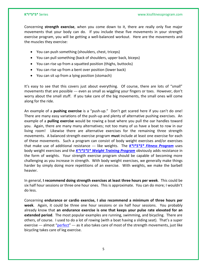Concerning **strength exercise**, when you come down to it, there are really only five major movements that your body can do. If you include these five movements in your strength exercise program, you will be getting a well-balanced workout. Here are the movements and the muscles they exercise:

- You can push something (shoulders, chest, triceps)
- You can pull something (back of shoulders, upper back, biceps)
- You can rise up from a squatted position (thighs, buttocks)
- You can rise up from a bent over position (lower back)
- You can sit up from a lying position (stomach)

It's easy to see that this covers just about everything. Of course, there are lots of "small" movements that are possible --- even as small as wiggling your fingers or toes. However, don't worry about the small stuff. If you take care of the big movements, the small ones will come along for the ride.

An example of a **pushing exercise** is a "push-up." Don't get scared here if you can't do one! There are many easy variations of the push-up and plenty of alternative pushing exercises. An example of a **pulling exercise** would be rowing a boat where you pull the oar handles toward you. Again, there are many many alternatives; not too many of us have a boat to row in our living room! Likewise there are alternative exercises for the remaining three strength movements. A balanced strength exercise program **must** include at least one exercise for each of these movements. Such a program can consist of body weight exercises and/or exercises that make use of additional resistance --- like weights. The *[K\\*I\\*S\\*S\\* Fitness Program](http://www.kissfitnessprogram.com/)* uses body weight exercises and the *[K\\*I\\*S\\*S\\* Weight Training Program](http://www.kissfitnessprogram.com/kiss-weight-training-program.html)* obviously adds resistance in the form of weights. Your strength exercise program should be capable of becoming more challenging as you increase in strength. With body weight exercises, we generally make things harder by simply doing more repetitions of an exercise. With weights, we make the barbell heavier.

In general, **I recommend doing strength exercises at least three hours per week**. This could be six half hour sessions or three one hour ones. This is approximate. You can do more; I wouldn't do less.

Concerning **endurance or cardio exercise, I also recommend a minimum of three hours per week**. Again, it could be three one hour sessions or six half hour sessions. You probably already know that **an endurance exercise is one that keeps your pulse rate elevated for an extended period**. The most popular examples are running, swimming, and bicycling. There are others, of course. I used to do a lot of rowing (with a boat having a sliding seat). That's a super exercise --- almost "[perfect](http://www.kissfitnessprogram.com/rowing.html)" --- as it also takes care of most of the strength movements, just like bicycling takes care of leg exercise.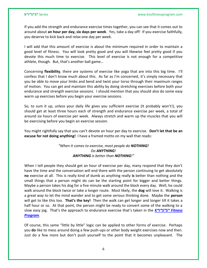If you add the strength and endurance exercise times together, you can see that it comes out to around about **an hour per day, six days per week**. Yes, take a day off! If you exercise faithfully, you deserve to kick back and relax one day per week.

I will add that this amount of exercise is about the minimum required in order to maintain a good level of fitness. You will look pretty good and you will likewise feel pretty good if you devote this much time to exercise. This level of exercise is not enough for a competitive athlete, though. But, that's another ball game…

Concerning **flexibility**, there are systems of exercise like yoga that are into this big time. I'll confess that I don't know much about this. As far as I'm concerned, it's simply necessary that you be able to move your limbs and bend and twist your torso through their maximum ranges of motion. You can get and maintain this ability by doing stretching exercises before both your endurance and strength exercise sessions. I should mention that you should also do some easy warm up exercises before you begin your exercise sessions.

So, to sum it up, unless your daily life gives you sufficient exercise (It probably won't!), you should get at least three hours each of strength and endurance exercise per week, a total of around six hours of exercise per week. Always stretch and warm up the muscles that you will be exercising before you begin an exercise session.

You might rightfully say that you can't devote an hour per day to exercise. **Don't let that be an excuse for not doing anything!** I have a framed motto on my wall that reads:

#### *"When it comes to exercise, most people do NOTHING! Do ANYTHING! ANYTHING is better than NOTHING!"*

When I tell people they should get an hour of exercise per day, many respond that they don't have the time and the conversation will end there with the person continuing to get absolutely **no** exercise at all. This is really kind of dumb as anything really **is** better than nothing and the small things that a person might do can be the starting point for bigger and better things. Maybe a person takes his dog for a five minute walk around the block every day. Well, he could walk around the block twice or take a longer route. Most likely, the **dog** will love it. Walking is a great way to let the mind wander and to get some serious thinking done. Maybe the **person** will get to like this too. **That's the key!** Then the walk can get longer and longer till it takes a half hour or so. At that point, the person might be ready to convert some of the walking to a slow easy jog. That's the approach to endurance exercise that's taken in the *[K\\*I\\*S\\*S\\* Fitness](http://www.kissfitnessprogram.com/)  [Program](http://www.kissfitnessprogram.com/)*.

Of course, this same "little by little" logic can be applied to other forms of exercise. Perhaps you **do** like to mess around doing a few push-ups or other body weight exercises now and then. Just do a few more but don't push yourself to the point that it becomes unpleasant. The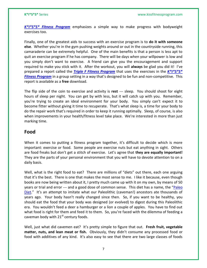*[K\\*I\\*S\\*S\\* Fitness Program](http://www.kissfitnessprogram.com/)* emphasizes a simple way to make progress with bodyweight exercises too.

Finally, one of the greatest aids to success with an exercise program is to **do it with someone else**. Whether you're in the gym pushing weights around or out in the countryside running, this camaraderie can be extremely helpful. One of the main benefits is that a person is less apt to quit an exercise program if he has company. There will be days when your willpower is low and you simply don't want to exercise. A friend can give you the encouragement and support required to make you stick with it. After the workout, you will **always** be glad you did it! I've prepared a report called the *[Triple F Fitness Program](http://www.kissfitnessprogram.com/free-fitness-and-exercise-reports.html)* that uses the exercises in the *[K\\*I\\*S\\*S\\*](http://www.kissfitnessprogram.com/)  [Fitness Program](http://www.kissfitnessprogram.com/)* in a group setting in a way that's designed to be fun and non-competitive. This report is available as a **free** download.

The flip side of the coin to exercise and activity is **rest** --- sleep. You should shoot for eight hours of sleep per night. You can get by with less, but it will catch up with you. Remember, you're trying to create an ideal environment for your body. You simply can't expect it to become fitter without giving it time to recuperate. That's what sleep is, a time for your body to do the repair work that's required in order to keep it running optimally. Sleep, of course, is also when improvements in your health/fitness level take place. We're interested in more than just marking time.

#### **Food**

When it comes to putting a fitness program together, it's difficult to decide which is more important: exercise or food. Some people are exercise nuts but eat anything in sight. Others are food freaks but don't get a stitch of exercise. Let's agree that **they are equally important!** They are the parts of your personal environment that you will have to devote attention to on a daily basis.

Well, what is the right food to eat? There are millions of "diets" out there, each one arguing that it's the best. There is one that makes the most sense to me. I like it because, even though books are now being written about it, I pretty much came up with it on my own, by means of 50 years or trial and error --- and a good dose of common sense. This diet has a name, the "Paleo" [Diet](http://www.kissfitnessprogram.com/food.html)." It's an attempt to imitate what our Paleolithic (caveman!) ancestors ate thousands of years ago. Your body hasn't really changed since then. So, if you want to be healthy, you should eat the food that your body was designed (or evolved) to digest during this Paleolithic era. You wouldn't feed a deer a hamburger or a lion a couple of apples. You have to find out what food is right for them and feed it to them. So, you're faced with the dilemma of feeding a caveman body with  $21<sup>st</sup>$  century foods.

Well, just what did cavemen eat? It's pretty simple to figure that out. **Fresh fruit, vegetable matter, nuts, and lean meat or fish.** Obviously, they didn't consume any processed food or food with additives of any kind. It's also easy to see that there are two large classes of foods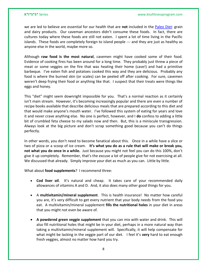we are led to believe are essential for our health that are **not** included in the [Paleo Diet:](http://www.kissfitnessprogram.com/food.html) grain and dairy products. Our caveman ancestors didn't consume these foods. In fact, there are cultures today where these foods are still not eaten. I spent a lot of time living in the Pacific islands. These foods are completely foreign to island people --- and they are just as healthy as anyone else in the world, maybe more so.

Although **raw food is the most natural**, cavemen might have cooked some of their food. Evidence of cooking fires has been around for a long time. They probably just threw a piece of meat or some veggies on the fire that was heating their home (cave!) and had a primitive barbeque. I've eaten fish and potatoes cooked this way and they are delicious. Probably any food is where the burned skin (or scales) can be peeled off after cooking. For sure, cavemen weren't deep frying their food or anything like that. I suspect that their treats were things like eggs and honey.

This "diet" might seem downright impossible for you. That's a normal reaction as it certainly isn't main stream. However, it's becoming increasingly popular and there are even a number of recipe books available that describe delicious meals that are prepared according to this diet and that would make anyone's mouth water. I've followed this system of eating for years and love it and never crave anything else. No one is perfect, however, and I **do** confess to adding a little bit of crumbled feta cheese to my salads now and then. But, this is a miniscule transgression. Always look at the big picture and don't scrap something good because you can't do things perfectly.

In other words, you don't need to become fanatical about this. Once in a while have a slice or two of pizza or a scoop of ice cream. **It's what you do as a rule that will make or break you, not what you do once in a while.** Just because you might not feel you can do this 100%, don't give it up completely. Remember, that's the excuse a lot of people give for not exercising at all. We discussed that already. Simply improve your diet as much as you can. Little by little.

What about **food supplements**? I recommend three:

- **Cod liver oil**. It's natural and cheap. It takes care of your recommended daily allowances of vitamins A and D. And, it also does many other good things for you.
- A **multivitamin/mineral supplement**. This is health insurance! No matter how careful you are, it's very difficult to get every nutrient that your body needs from the food you eat. A multivitamin/mineral supplement **fills the nutritional holes** in your diet in areas that you might not even be aware of.
- **A powdered green veggie supplement** that you can mix with water and drink. This will also fill nutritional holes that might be in your diet, perhaps in a more natural way than taking a multivitamin/mineral supplement will. Specifically, it will help compensate for what might be lacking in the veggie part of our diet. I feel it's **very** hard to eat enough fresh veggies, almost no matter how hard you try.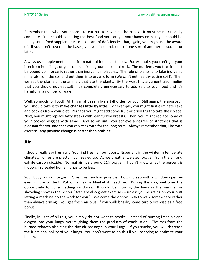Remember that what you choose to eat has to cover all the bases. It must be nutritionally complete. You should be eating the best food you can get your hands on plus you should be taking some food supplements to take care of deficiencies that, again, you might not be aware of. If you don't cover all the bases, you will face problems of one sort of another --- sooner or later.

Always use supplements made from natural food substances. For example, you can't get your iron from iron filings or your calcium from ground up coral rock. The nutrients you take in must be bound up in organic rather than inorganic molecules. The role of plants is to take inorganic minerals from the soil and put them into organic form (We can't get healthy eating soil!). Then we eat the plants or the animals that ate the plants. By the way, this argument also implies that you should **not** eat salt. It's completely unnecessary to add salt to your food and it's harmful in a number of ways.

Well, so much for food! All this might seem like a tall order for you. Still again, the approach you should take is to **make changes little by little**. For example, you might first eliminate cake and cookies from your diet. Perhaps you might add some fruit or dried fruit to take their place. Next, you might replace fatty steaks with lean turkey breasts. Then, you might replace some of your cooked veggies with salad. And so on until you achieve a degree of strictness that is pleasant for you and that you can stick with for the long term. Always remember that, like with exercise, **any positive change is better than nothing**.

#### **Air**

I should really say **fresh** air. You find fresh air out doors. Especially in the winter in temperate climates, homes are pretty much sealed up. As we breathe, we steal oxygen from the air and exhale carbon dioxide. Normal air has around 21% oxygen. I don't know what the percent is indoors in a sealed home. It has to be less.

Your body runs on oxygen. Give it as much as possible. How? Sleep with a window open -- even in the winter! Put on an extra blanket if need be. During the day, welcome the opportunity to do something outdoors. It could be mowing the lawn in the summer or shoveling snow in the winter (Both are also great exercise --- unless you're sitting on your butt letting a machine do the work for you.). Welcome the opportunity to walk somewhere rather than always driving. You get fresh air plus, if you walk briskly, some cardio exercise as a free bonus.

Finally, in light of all this, you simply do **not** want to smoke. Instead of putting fresh air and oxygen into your lungs, you're giving them the products of combustion. The tars from the burned tobacco also clog the tiny air passages in your lungs. If you smoke, you will decrease the functional ability of your lungs. You don't want to do this if you're trying to optimize your health.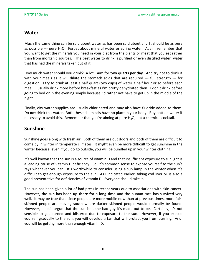#### **Water**

Much the same thing can be said about water as has been said about air. It should be as pure as possible --- pure  $H_2O$ . Forget about mineral water or spring water. Again, remember that you want to get the minerals you need in your diet from the plants or meat that you eat rather than from inorganic sources. The best water to drink is purified or even distilled water, water that has had the minerals taken out of it.

How much water should you drink? A lot. Aim for **two quarts per day**. And try not to drink it with your meals as it will dilute the stomach acids that are required --- full strength --- for digestion. I try to drink at least a half quart (two cups) of water a half hour or so before each meal. I usually drink more before breakfast as I'm pretty dehydrated then. I don't drink before going to bed or in the evening simply because I'd rather not have to get up in the middle of the night.

Finally, city water supplies are usually chlorinated and may also have fluoride added to them. Do **not** drink this water. Both these chemicals have no place in your body. Buy bottled water if necessary to avoid this. Remember that you're aiming at pure  $H_2O$ , not a chemical cocktail.

### **Sunshine**

Sunshine goes along with fresh air. Both of them are out doors and both of them are difficult to come by in winter in temperate climates. It might even be more difficult to get sunshine in the winter because, even if you do go outside, you will be bundled up in your winter clothing.

It's well known that the sun is a source of vitamin D and that insufficient exposure to sunlight is a leading cause of vitamin D deficiency. So, it's common sense to expose yourself to the sun's rays whenever you can. It's worthwhile to consider using a sun lamp in the winter when it's difficult to get enough exposure to the sun. As I indicated earlier, taking cod liver oil is also a good preventative for deficiencies of vitamin D. Everyone should take it.

The sun has been given a lot of bad press in recent years due to associations with skin cancer. However, **the sun has been up there for a long time** and the human race has survived very well. It may be true that, since people are more mobile now than at previous times, more fairskinned people are moving south where darker skinned people would normally be found. However, I'll still argue that the sun isn't the bad guy it's made out to be. Certainly, it's not sensible to get burned and blistered due to exposure to the sun. However, if you expose yourself gradually to the sun, you will develop a tan that will protect you from burning. And, you will be getting more than enough vitamin D.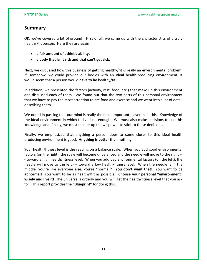#### **Summary**

OK, we've covered a lot of ground! First of all, we came up with the characteristics of a truly healthy/fit person. Here they are again:

- **a fair amount of athletic ability,**
- **a body that isn't sick and that can't get sick.**

Next, we discussed how this business of getting healthy/fit is really an environmental problem. If, somehow, we could provide our bodies with an **ideal** health-producing environment, it would seem that a person would **have to be** healthy/fit.

In addition, we presented the factors (activity, rest, food, etc.) that make up this environment and discussed each of them. We found out that the two parts of this personal environment that we have to pay the most attention to are food and exercise and we went into a lot of detail describing them.

We noted in passing that our mind is really the most important player in all this. Knowledge of the ideal environment in which to live isn't enough. We must also make decisions to use this knowledge and, finally, we must muster up the willpower to stick to these decisions.

Finally, we emphasized that anything a person does to come closer to this ideal health producing environment is good. **Anything is better than nothing**.

Your health/fitness level is the reading on a balance scale. When you add good environmental factors (on the right), the scale will become unbalanced and the needle will move to the right -- - toward a high health/fitness level. When you add bad environmental factors (on the left), the needle will move to the left --- toward a low health/fitness level. When the needle is in the middle, you're like everyone else; you're "normal." **You don't want that!** You want to be **abnormal**! You want to be as healthy/fit as possible. **Choose your personal "environment" wisely and live it!** The universe is orderly and you **will** get the health/fitness level that you ask for!This report provides the **"Blueprint"** for doing this…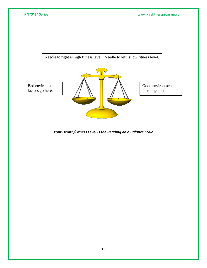Needle to right is high fitness level. Needle to left is low fitness level.



*Your Health/Fitness Level is the Reading on a Balance Scale*